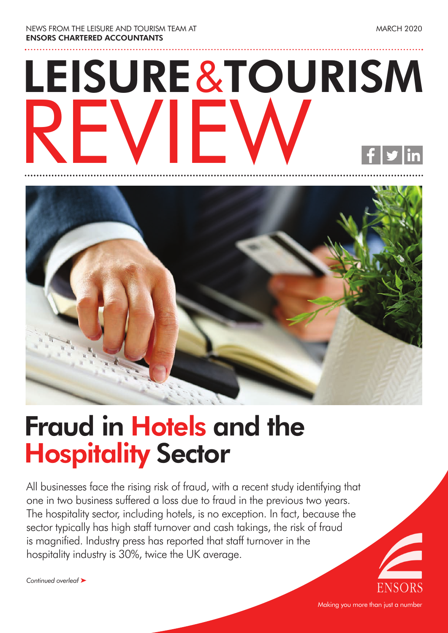NEWS FROM THE LEISURE AND TOURISM TEAM AT **ENSORS CHARTERED ACCOUNTANTS**

# **LEISURE**&**TOURISM** REVIEW



### **Fraud in Hotels and the Hospitality Sector**

All businesses face the rising risk of fraud, with a recent study identifying that one in two business suffered a loss due to fraud in the previous two years. The hospitality sector, including hotels, is no exception. In fact, because the sector typically has high staff turnover and cash takings, the risk of fraud is magnified. Industry press has reported that staff turnover in the hospitality industry is 30%, twice the UK average.

*Continued overleaf* ‰

Making you more than just a number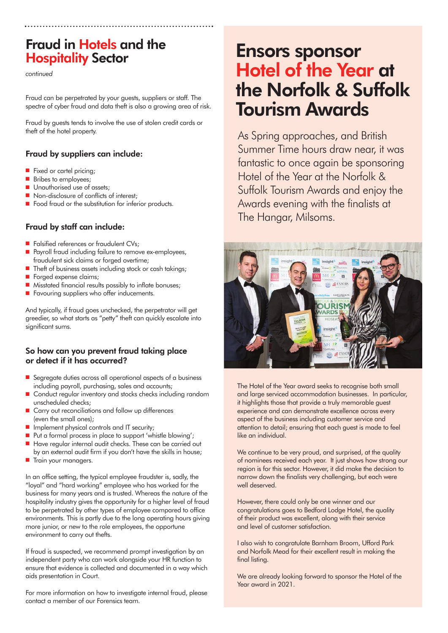### **Fraud in Hotels and the Hospitality Sector**

*continued*

Fraud can be perpetrated by your guests, suppliers or staff. The spectre of cyber fraud and data theft is also a growing area of risk.

Fraud by guests tends to involve the use of stolen credit cards or theft of the hotel property.

#### **Fraud by suppliers can include:**

- $\blacksquare$  Fixed or cartel pricing:
- Bribes to employees;
- **n** Unauthorised use of assets;
- $\blacksquare$  Non-disclosure of conflicts of interest:
- Food fraud or the substitution for inferior products.

#### **Fraud by staff can include:**

- Falsified references or fraudulent CVs;
- Payroll fraud including failure to remove ex-employees, fraudulent sick claims or forged overtime;
- $\blacksquare$  Theft of business assets including stock or cash takings;
- **n** Forged expense claims:
- $\blacksquare$  Misstated financial results possibly to inflate bonuses:
- $\blacksquare$  Favouring suppliers who offer inducements.

And typically, if fraud goes unchecked, the perpetrator will get greedier, so what starts as "petty" theft can quickly escalate into significant sums.

#### **So how can you prevent fraud taking place or detect if it has occurred?**

- Segregate duties across all operational aspects of a business including payroll, purchasing, sales and accounts;
- Conduct regular inventory and stocks checks including random unscheduled checks;
- $\blacksquare$  Carry out reconciliations and follow up differences (even the small ones);
- $\blacksquare$  Implement physical controls and IT security;
- Put a formal process in place to support 'whistle blowing';
- Have regular internal audit checks. These can be carried out
- by an external audit firm if you don't have the skills in house; **n** Train your managers.

In an office setting, the typical employee fraudster is, sadly, the "loyal" and "hard working" employee who has worked for the business for many years and is trusted. Whereas the nature of the hospitality industry gives the opportunity for a higher level of fraud to be perpetrated by other types of employee compared to office environments. This is partly due to the long operating hours giving more junior, or new to the role employees, the opportune environment to carry out thefts.

If fraud is suspected, we recommend prompt investigation by an independent party who can work alongside your HR function to ensure that evidence is collected and documented in a way which aids presentation in Court.

For more information on how to investigate internal fraud, please contact a member of our Forensics team.

### **Ensors sponsor Hotel of the Year at the Norfolk & Suffolk Tourism Awards**

As Spring approaches, and British Summer Time hours draw near, it was fantastic to once again be sponsoring Hotel of the Year at the Norfolk & Suffolk Tourism Awards and enjoy the Awards evening with the finalists at The Hangar, Milsoms.



The Hotel of the Year award seeks to recognise both small and large serviced accommodation businesses. In particular, it highlights those that provide a truly memorable guest experience and can demonstrate excellence across every aspect of the business including customer service and attention to detail; ensuring that each guest is made to feel like an individual.

We continue to be very proud, and surprised, at the quality of nominees received each year. It just shows how strong our region is for this sector. However, it did make the decision to narrow down the finalists very challenging, but each were well deserved.

However, there could only be one winner and our congratulations goes to Bedford Lodge Hotel, the quality of their product was excellent, along with their service and level of customer satisfaction.

I also wish to congratulate Barnham Broom, Ufford Park and Norfolk Mead for their excellent result in making the final listing.

We are already looking forward to sponsor the Hotel of the Year award in 2021.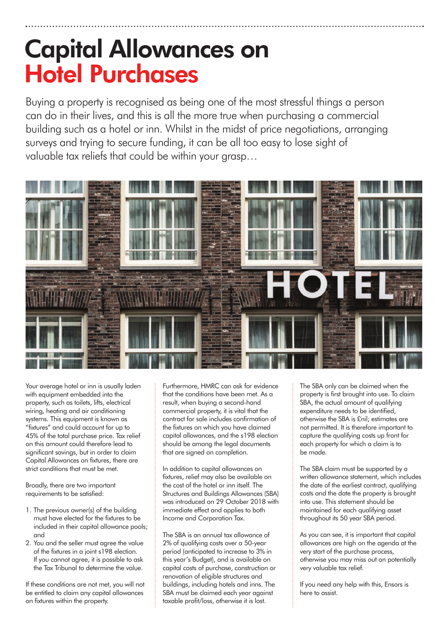### **Capital Allowances on Hotel Purchases**

Buying a property is recognised as being one of the most stressful things a person can do in their lives, and this is all the more true when purchasing a commercial building such as a hotel or inn. Whilst in the midst of price negotiations, arranging surveys and trying to secure funding, it can be all too easy to lose sight of valuable tax reliefs that could be within your grasp…



Your average hotel or inn is usually laden with equipment embedded into the property, such as toilets, lifts, electrical wiring, heating and air conditioning systems. This equipment is known as "fixtures" and could account for up to 45% of the total purchase price. Tax relief on this amount could therefore lead to significant savings, but in order to claim Capital Allowances on fixtures, there are strict conditions that must be met.

Broadly, there are two important requirements to be satisfied:

- 1. The previous owner(s) of the building must have elected for the fixtures to be included in their capital allowance pools; and
- 2. You and the seller must agree the value of the fixtures in a joint s198 election. If you cannot agree, it is possible to ask the Tax Tribunal to determine the value.

If these conditions are not met, you will not be entitled to claim any capital allowances on fixtures within the property.

Furthermore, HMRC can ask for evidence that the conditions have been met. As a result, when buying a second-hand commercial property, it is vital that the contract for sale includes confirmation of the fixtures on which you have claimed capital allowances, and the s198 election should be among the legal documents that are signed on completion.

In addition to capital allowances on fixtures, relief may also be available on the cost of the hotel or inn itself. The Structures and Buildings Allowances (SBA) was introduced on 29 October 2018 with immediate effect and applies to both Income and Corporation Tax.

The SBA is an annual tax allowance of 2% of qualifying costs over a 50-year period (anticipated to increase to 3% in this year's Budget), and is available on capital costs of purchase, construction or renovation of eligible structures and buildings, including hotels and inns. The SBA must be claimed each year against taxable profit/loss, otherwise it is lost.

The SBA only can be claimed when the property is first brought into use. To claim SBA, the actual amount of qualifying expenditure needs to be identified, otherwise the SBA is £nil; estimates are not permitted. It is therefore important to capture the qualifying costs up front for each property for which a claim is to be made.

The SBA claim must be supported by a written allowance statement, which includes the date of the earliest contract, qualifying costs and the date the property is brought into use. This statement should be maintained for each qualifying asset throughout its 50 year SBA period.

As you can see, it is important that capital allowances are high on the agenda at the very start of the purchase process, otherwise you may miss out on potentially very valuable tax relief.

If you need any help with this, Ensors is here to assist.